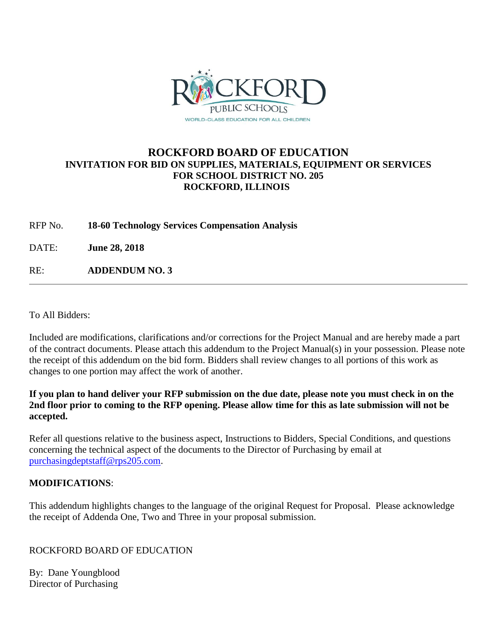

# **ROCKFORD BOARD OF EDUCATION INVITATION FOR BID ON SUPPLIES, MATERIALS, EQUIPMENT OR SERVICES FOR SCHOOL DISTRICT NO. 205 ROCKFORD, ILLINOIS**

RFP No. **18-60 Technology Services Compensation Analysis**

DATE: **June 28, 2018**

RE: **ADDENDUM NO. 3**

To All Bidders:

Included are modifications, clarifications and/or corrections for the Project Manual and are hereby made a part of the contract documents. Please attach this addendum to the Project Manual(s) in your possession. Please note the receipt of this addendum on the bid form. Bidders shall review changes to all portions of this work as changes to one portion may affect the work of another.

#### **If you plan to hand deliver your RFP submission on the due date, please note you must check in on the 2nd floor prior to coming to the RFP opening. Please allow time for this as late submission will not be accepted.**

Refer all questions relative to the business aspect, Instructions to Bidders, Special Conditions, and questions concerning the technical aspect of the documents to the Director of Purchasing by email at [purchasingdeptstaff@rps205.com.](mailto:purchasingdeptstaff@rps205.com)

## **MODIFICATIONS**:

This addendum highlights changes to the language of the original Request for Proposal. Please acknowledge the receipt of Addenda One, Two and Three in your proposal submission.

#### ROCKFORD BOARD OF EDUCATION

By: Dane Youngblood Director of Purchasing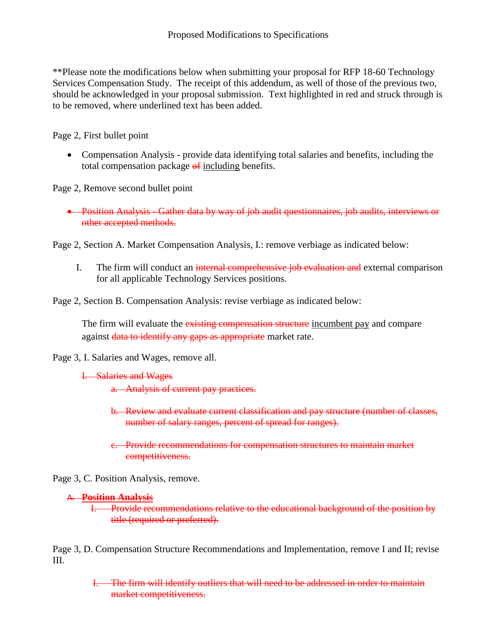\*\*Please note the modifications below when submitting your proposal for RFP 18-60 Technology Services Compensation Study. The receipt of this addendum, as well of those of the previous two, should be acknowledged in your proposal submission. Text highlighted in red and struck through is to be removed, where underlined text has been added.

Page 2, First bullet point

 Compensation Analysis - provide data identifying total salaries and benefits, including the total compensation package  $\theta$  including benefits.

Page 2, Remove second bullet point

 Position Analysis - Gather data by way of job audit questionnaires, job audits, interviews or other accepted methods.

Page 2, Section A. Market Compensation Analysis, I.: remove verbiage as indicated below:

I. The firm will conduct an internal comprehensive job evaluation and external comparison for all applicable Technology Services positions.

Page 2, Section B. Compensation Analysis: revise verbiage as indicated below:

The firm will evaluate the existing compensation structure incumbent pay and compare against data to identify any gaps as appropriate market rate.

Page 3, I. Salaries and Wages, remove all.

```
I. Salaries and Wages
```
a. Analysis of current pay practices.

- b. Review and evaluate current classification and pay structure (number of classes, number of salary ranges, percent of spread for ranges).
- c. Provide recommendations for compensation structures to maintain market competitiveness.

Page 3, C. Position Analysis, remove.

## A. **Position Analysis**

I. Provide recommendations relative to the educational background of the position by title (required or preferred).

Page 3, D. Compensation Structure Recommendations and Implementation, remove I and II; revise III.

> I. The firm will identify outliers that will need to be addressed in order to maintain market competitiveness.